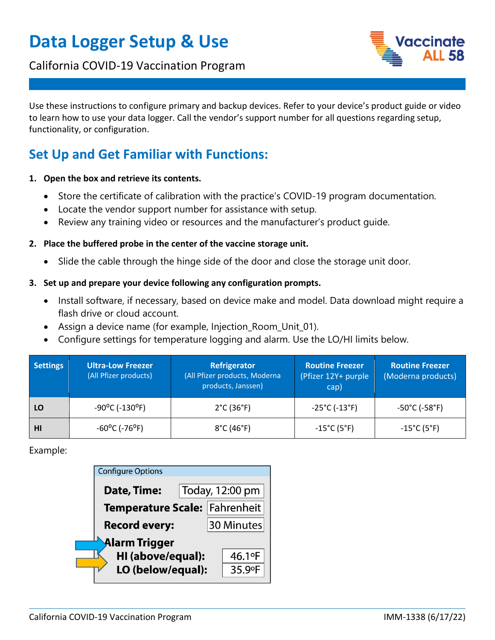# **Data Logger Setup & Use**

### California COVID-19 Vaccination Program



Use these instructions to configure primary and backup devices. Refer to your device's product guide or video to learn how to use your data logger. Call the vendor's support number for all questions regarding setup, functionality, or configuration.

## **Set Up and Get Familiar with Functions:**

- **1. Open the box and retrieve its contents.** 
	- Store the certificate of calibration with the practice's COVID-19 program documentation.
	- Locate the vendor support number for assistance with setup.
	- Review any training video or resources and the manufacturer's product guide.

#### **2. Place the buffered probe in the center of the vaccine storage unit.**

- Slide the cable through the hinge side of the door and close the storage unit door.
- **3. Set up and prepare your device following any configuration prompts.** 
	- Install software, if necessary, based on device make and model. Data download might require a flash drive or cloud account.
	- Assign a device name (for example, Injection\_Room\_Unit\_01).
	- Configure settings for temperature logging and alarm. Use the LO/HI limits below.

| <b>Settings</b> | <b>Ultra-Low Freezer</b><br>(All Pfizer products) | Refrigerator<br>(All Pfizer products, Moderna<br>products, Janssen) | <b>Routine Freezer</b><br>(Pfizer 12Y+ purple<br>cap) | <b>Routine Freezer</b><br>(Moderna products) |
|-----------------|---------------------------------------------------|---------------------------------------------------------------------|-------------------------------------------------------|----------------------------------------------|
| LO              | $-90^{\circ}$ C ( $-130^{\circ}$ F)               | $2^{\circ}$ C (36 $^{\circ}$ F)                                     | $-25^{\circ}$ C (-13 $^{\circ}$ F)                    | $-50^{\circ}$ C (-58 $^{\circ}$ F)           |
| HI              | $-60^{\circ}$ C (-76°F)                           | $8^{\circ}$ C (46 $^{\circ}$ F)                                     | $-15^{\circ}$ C (5 $^{\circ}$ F)                      | $-15^{\circ}$ C (5 $^{\circ}$ F)             |

Example:

|               | <b>Configure Options</b>      |                 |            |        |  |  |
|---------------|-------------------------------|-----------------|------------|--------|--|--|
|               | Date, Time:                   | Today, 12:00 pm |            |        |  |  |
|               | Temperature Scale: Fahrenheit |                 |            |        |  |  |
|               | <b>Record every:</b>          |                 | 30 Minutes |        |  |  |
| Alarm Trigger |                               |                 |            |        |  |  |
|               | HI (above/equal):             |                 |            | 46.1°F |  |  |
|               | LO (below/equal):             |                 |            | 35.9°F |  |  |